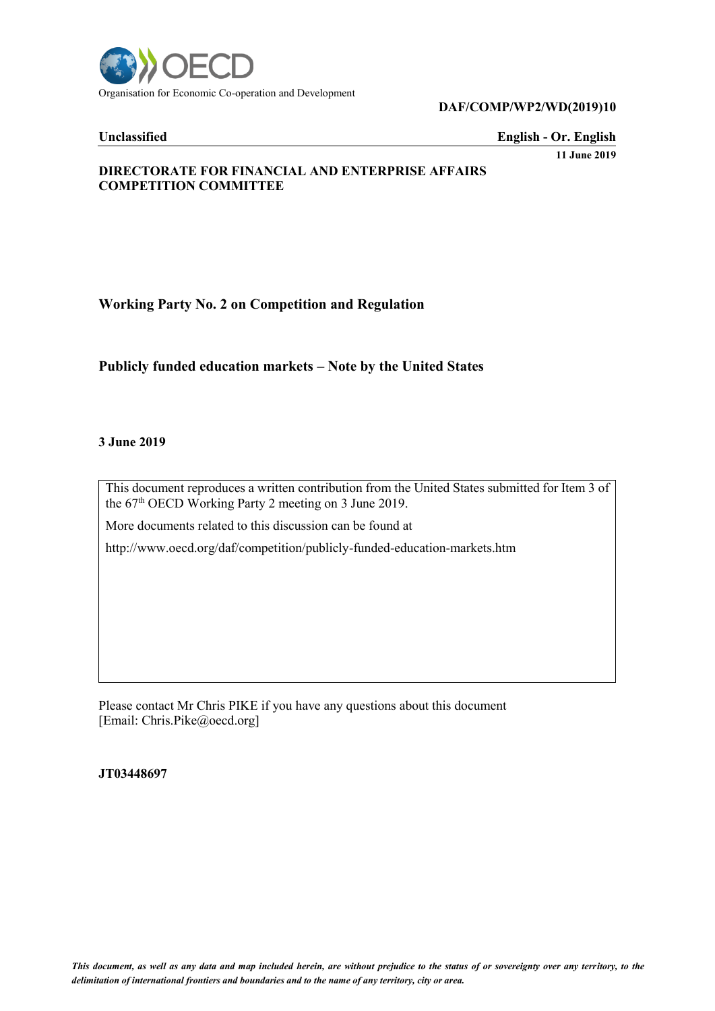

#### **DAF/COMP/WP2/WD(2019)10**

**Unclassified English - Or. English**

**11 June 2019**

## **DIRECTORATE FOR FINANCIAL AND ENTERPRISE AFFAIRS COMPETITION COMMITTEE**

# **Working Party No. 2 on Competition and Regulation**

# **Publicly funded education markets – Note by the United States**

#### **3 June 2019**

This document reproduces a written contribution from the United States submitted for Item 3 of the 67<sup>th</sup> OECD Working Party 2 meeting on 3 June 2019.

More documents related to this discussion can be found at

http://www.oecd.org/daf/competition/publicly-funded-education-markets.htm

Please contact Mr Chris PIKE if you have any questions about this document [Email: Chris.Pike@oecd.org]

**JT03448697**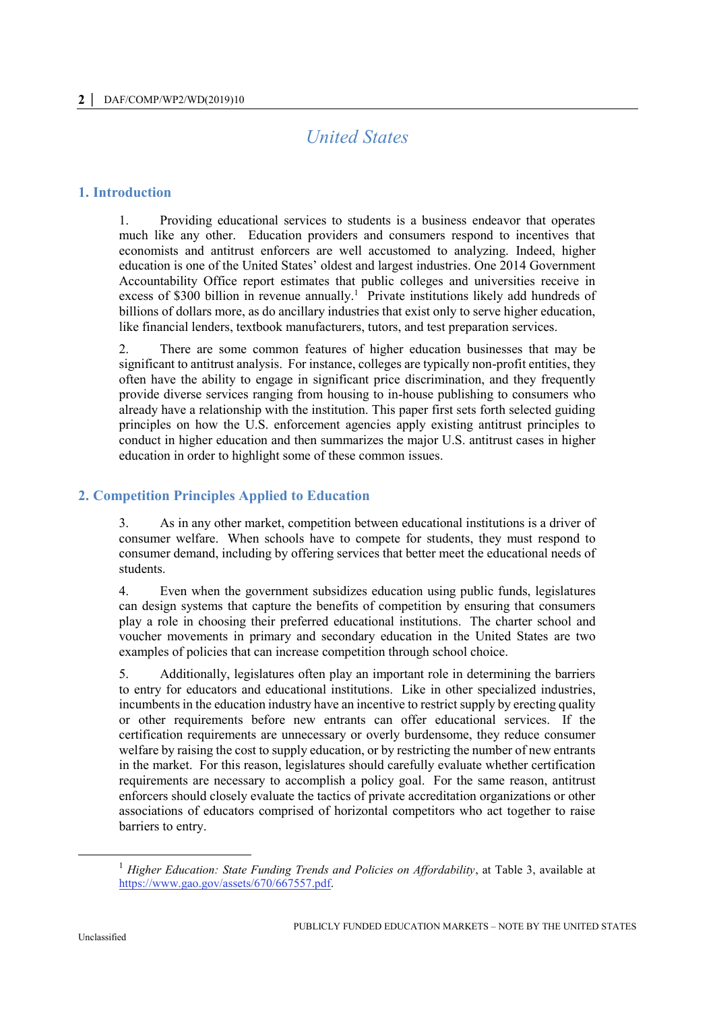# *United States*

## **1. Introduction**

1. Providing educational services to students is a business endeavor that operates much like any other. Education providers and consumers respond to incentives that economists and antitrust enforcers are well accustomed to analyzing. Indeed, higher education is one of the United States' oldest and largest industries. One 2014 Government Accountability Office report estimates that public colleges and universities receive in excess of \$300 billion in revenue annually.<sup>1</sup> Private institutions likely add hundreds of billions of dollars more, as do ancillary industries that exist only to serve higher education, like financial lenders, textbook manufacturers, tutors, and test preparation services.

2. There are some common features of higher education businesses that may be significant to antitrust analysis. For instance, colleges are typically non-profit entities, they often have the ability to engage in significant price discrimination, and they frequently provide diverse services ranging from housing to in-house publishing to consumers who already have a relationship with the institution. This paper first sets forth selected guiding principles on how the U.S. enforcement agencies apply existing antitrust principles to conduct in higher education and then summarizes the major U.S. antitrust cases in higher education in order to highlight some of these common issues.

# **2. Competition Principles Applied to Education**

3. As in any other market, competition between educational institutions is a driver of consumer welfare. When schools have to compete for students, they must respond to consumer demand, including by offering services that better meet the educational needs of students.

4. Even when the government subsidizes education using public funds, legislatures can design systems that capture the benefits of competition by ensuring that consumers play a role in choosing their preferred educational institutions. The charter school and voucher movements in primary and secondary education in the United States are two examples of policies that can increase competition through school choice.

5. Additionally, legislatures often play an important role in determining the barriers to entry for educators and educational institutions. Like in other specialized industries, incumbents in the education industry have an incentive to restrict supply by erecting quality or other requirements before new entrants can offer educational services. If the certification requirements are unnecessary or overly burdensome, they reduce consumer welfare by raising the cost to supply education, or by restricting the number of new entrants in the market. For this reason, legislatures should carefully evaluate whether certification requirements are necessary to accomplish a policy goal. For the same reason, antitrust enforcers should closely evaluate the tactics of private accreditation organizations or other associations of educators comprised of horizontal competitors who act together to raise barriers to entry.

<sup>&</sup>lt;sup>1</sup> Higher Education: State Funding Trends and Policies on Affordability, at Table 3, available at [https://www.gao.gov/assets/670/667557.pdf.](https://www.gao.gov/assets/670/667557.pdf)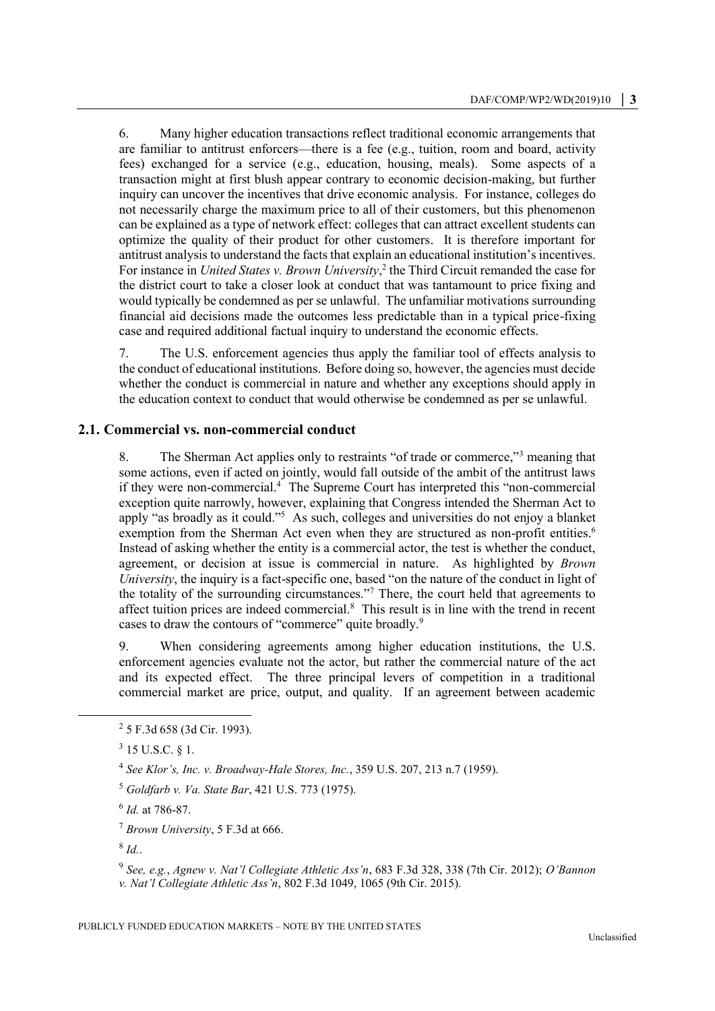6. Many higher education transactions reflect traditional economic arrangements that are familiar to antitrust enforcers—there is a fee (e.g., tuition, room and board, activity fees) exchanged for a service (e.g., education, housing, meals). Some aspects of a transaction might at first blush appear contrary to economic decision-making, but further inquiry can uncover the incentives that drive economic analysis. For instance, colleges do not necessarily charge the maximum price to all of their customers, but this phenomenon can be explained as a type of network effect: colleges that can attract excellent students can optimize the quality of their product for other customers. It is therefore important for antitrust analysis to understand the facts that explain an educational institution's incentives. For instance in *United States v. Brown University*, 2 the Third Circuit remanded the case for the district court to take a closer look at conduct that was tantamount to price fixing and would typically be condemned as per se unlawful. The unfamiliar motivations surrounding financial aid decisions made the outcomes less predictable than in a typical price-fixing case and required additional factual inquiry to understand the economic effects.

7. The U.S. enforcement agencies thus apply the familiar tool of effects analysis to the conduct of educational institutions. Before doing so, however, the agencies must decide whether the conduct is commercial in nature and whether any exceptions should apply in the education context to conduct that would otherwise be condemned as per se unlawful.

#### **2.1. Commercial vs. non-commercial conduct**

8. The Sherman Act applies only to restraints "of trade or commerce,"<sup>3</sup> meaning that some actions, even if acted on jointly, would fall outside of the ambit of the antitrust laws if they were non-commercial.<sup>4</sup> The Supreme Court has interpreted this "non-commercial exception quite narrowly, however, explaining that Congress intended the Sherman Act to apply "as broadly as it could."<sup>5</sup> As such, colleges and universities do not enjoy a blanket exemption from the Sherman Act even when they are structured as non-profit entities.<sup>6</sup> Instead of asking whether the entity is a commercial actor, the test is whether the conduct, agreement, or decision at issue is commercial in nature. As highlighted by *Brown University*, the inquiry is a fact-specific one, based "on the nature of the conduct in light of the totality of the surrounding circumstances."<sup>7</sup> There, the court held that agreements to affect tuition prices are indeed commercial. $<sup>8</sup>$  This result is in line with the trend in recent</sup> cases to draw the contours of "commerce" quite broadly.<sup>9</sup>

9. When considering agreements among higher education institutions, the U.S. enforcement agencies evaluate not the actor, but rather the commercial nature of the act and its expected effect. The three principal levers of competition in a traditional commercial market are price, output, and quality. If an agreement between academic

6 *Id.* at 786-87.

<sup>7</sup> *Brown University*, 5 F.3d at 666.

8 *Id.*.

 $\overline{a}$ 

9 *See, e.g.*, *Agnew v. Nat'l Collegiate Athletic Ass'n*, 683 F.3d 328, 338 (7th Cir. 2012); *O'Bannon v. Nat'l Collegiate Athletic Ass'n*, 802 F.3d 1049, 1065 (9th Cir. 2015).

<sup>2</sup> 5 F.3d 658 (3d Cir. 1993).

 $3$  15 U.S.C. § 1.

<sup>4</sup> *See Klor's, Inc. v. Broadway-Hale Stores, Inc.*, 359 U.S. 207, 213 n.7 (1959).

<sup>5</sup> *Goldfarb v. Va. State Bar*, 421 U.S. 773 (1975).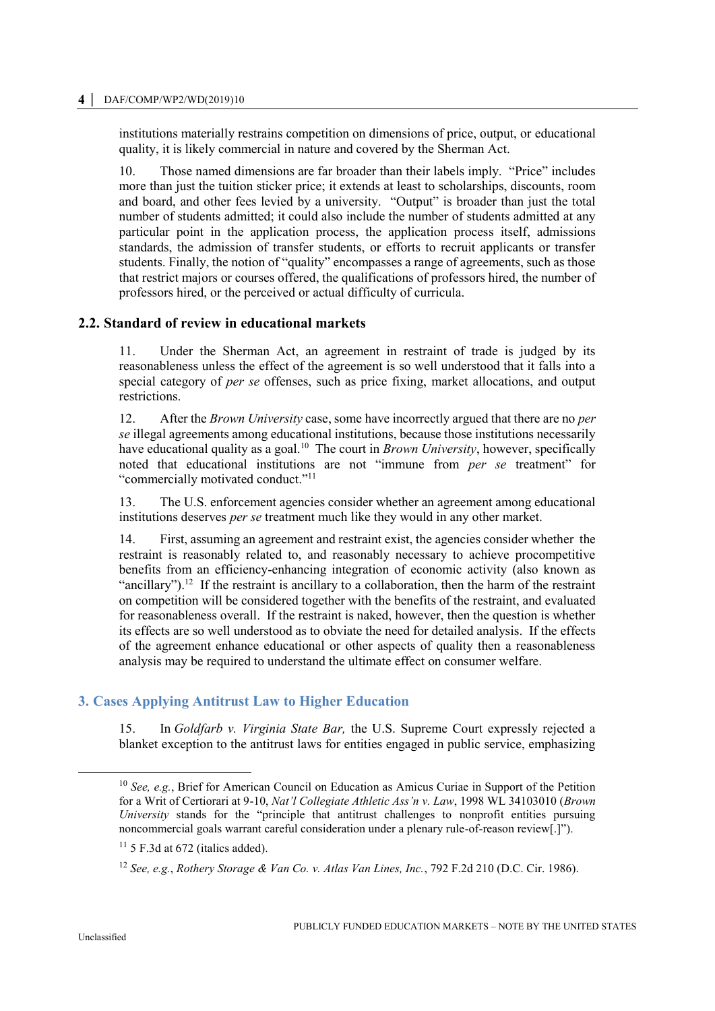#### **4 │** DAF/COMP/WP2/WD(2019)10

institutions materially restrains competition on dimensions of price, output, or educational quality, it is likely commercial in nature and covered by the Sherman Act.

10. Those named dimensions are far broader than their labels imply. "Price" includes more than just the tuition sticker price; it extends at least to scholarships, discounts, room and board, and other fees levied by a university. "Output" is broader than just the total number of students admitted; it could also include the number of students admitted at any particular point in the application process, the application process itself, admissions standards, the admission of transfer students, or efforts to recruit applicants or transfer students. Finally, the notion of "quality" encompasses a range of agreements, such as those that restrict majors or courses offered, the qualifications of professors hired, the number of professors hired, or the perceived or actual difficulty of curricula.

#### **2.2. Standard of review in educational markets**

11. Under the Sherman Act, an agreement in restraint of trade is judged by its reasonableness unless the effect of the agreement is so well understood that it falls into a special category of *per se* offenses, such as price fixing, market allocations, and output restrictions.

12. After the *Brown University* case, some have incorrectly argued that there are no *per se* illegal agreements among educational institutions, because those institutions necessarily have educational quality as a goal.<sup>10</sup> The court in *Brown University*, however, specifically noted that educational institutions are not "immune from *per se* treatment" for "commercially motivated conduct."<sup>11</sup>

13. The U.S. enforcement agencies consider whether an agreement among educational institutions deserves *per se* treatment much like they would in any other market.

14. First, assuming an agreement and restraint exist, the agencies consider whether the restraint is reasonably related to, and reasonably necessary to achieve procompetitive benefits from an efficiency-enhancing integration of economic activity (also known as "ancillary").<sup>12</sup> If the restraint is ancillary to a collaboration, then the harm of the restraint on competition will be considered together with the benefits of the restraint, and evaluated for reasonableness overall. If the restraint is naked, however, then the question is whether its effects are so well understood as to obviate the need for detailed analysis. If the effects of the agreement enhance educational or other aspects of quality then a reasonableness analysis may be required to understand the ultimate effect on consumer welfare.

# **3. Cases Applying Antitrust Law to Higher Education**

15. In *Goldfarb v. Virginia State Bar,* the U.S. Supreme Court expressly rejected a blanket exception to the antitrust laws for entities engaged in public service, emphasizing

 $\overline{a}$ 

<sup>10</sup> *See, e.g.*, Brief for American Council on Education as Amicus Curiae in Support of the Petition for a Writ of Certiorari at 9-10, *Nat'l Collegiate Athletic Ass'n v. Law*, 1998 WL 34103010 (*Brown University* stands for the "principle that antitrust challenges to nonprofit entities pursuing noncommercial goals warrant careful consideration under a plenary rule-of-reason review[.]").

 $11$  5 F.3d at 672 (italics added).

<sup>12</sup> *See, e.g.*, *Rothery Storage & Van Co. v. Atlas Van Lines, Inc.*, 792 F.2d 210 (D.C. Cir. 1986).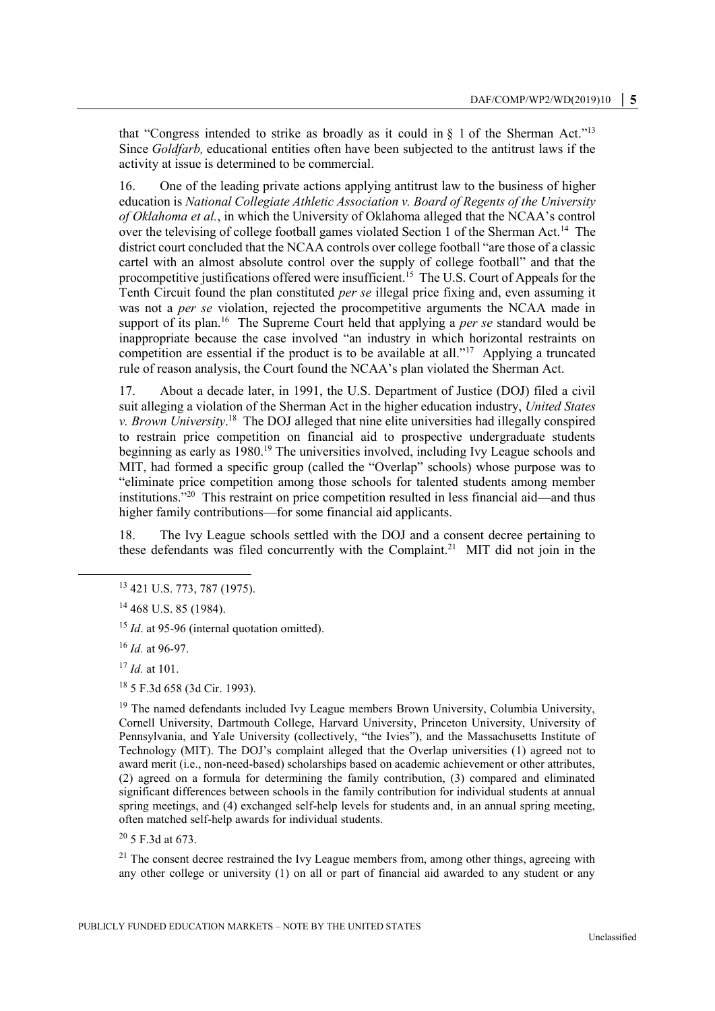that "Congress intended to strike as broadly as it could in  $\S$  1 of the Sherman Act."<sup>13</sup> Since *Goldfarb,* educational entities often have been subjected to the antitrust laws if the activity at issue is determined to be commercial.

16. One of the leading private actions applying antitrust law to the business of higher education is *National Collegiate Athletic Association v. Board of Regents of the University of Oklahoma et al.*, in which the University of Oklahoma alleged that the NCAA's control over the televising of college football games violated Section 1 of the Sherman Act.<sup>14</sup> The district court concluded that the NCAA controls over college football "are those of a classic cartel with an almost absolute control over the supply of college football" and that the procompetitive justifications offered were insufficient.<sup>15</sup> The U.S. Court of Appeals for the Tenth Circuit found the plan constituted *per se* illegal price fixing and, even assuming it was not a *per se* violation, rejected the procompetitive arguments the NCAA made in support of its plan.<sup>16</sup> The Supreme Court held that applying a *per se* standard would be inappropriate because the case involved "an industry in which horizontal restraints on competition are essential if the product is to be available at all."<sup>17</sup> Applying a truncated rule of reason analysis, the Court found the NCAA's plan violated the Sherman Act.

17. About a decade later, in 1991, the U.S. Department of Justice (DOJ) filed a civil suit alleging a violation of the Sherman Act in the higher education industry, *United States*  v. Brown University.<sup>18</sup> The DOJ alleged that nine elite universities had illegally conspired to restrain price competition on financial aid to prospective undergraduate students beginning as early as 1980.<sup>19</sup> The universities involved, including Ivy League schools and MIT, had formed a specific group (called the "Overlap" schools) whose purpose was to "eliminate price competition among those schools for talented students among member institutions."<sup>20</sup> This restraint on price competition resulted in less financial aid—and thus higher family contributions—for some financial aid applicants.

18. The Ivy League schools settled with the DOJ and a consent decree pertaining to these defendants was filed concurrently with the Complaint.<sup>21</sup> MIT did not join in the

<sup>16</sup> *Id.* at 96-97.

 $\overline{a}$ 

<sup>17</sup> *Id.* at 101.

<sup>18</sup> 5 F.3d 658 (3d Cir. 1993).

<sup>19</sup> The named defendants included Ivy League members Brown University, Columbia University, Cornell University, Dartmouth College, Harvard University, Princeton University, University of Pennsylvania, and Yale University (collectively, "the Ivies"), and the Massachusetts Institute of Technology (MIT). The DOJ's complaint alleged that the Overlap universities (1) agreed not to award merit (i.e., non-need-based) scholarships based on academic achievement or other attributes, (2) agreed on a formula for determining the family contribution, (3) compared and eliminated significant differences between schools in the family contribution for individual students at annual spring meetings, and (4) exchanged self-help levels for students and, in an annual spring meeting, often matched self-help awards for individual students.

 $20\,$  5 F.3d at 673.

 $2<sup>1</sup>$  The consent decree restrained the Ivy League members from, among other things, agreeing with any other college or university (1) on all or part of financial aid awarded to any student or any

<sup>13</sup> 421 U.S. 773, 787 (1975).

<sup>&</sup>lt;sup>14</sup> 468 U.S. 85 (1984).

<sup>&</sup>lt;sup>15</sup> *Id.* at 95-96 (internal quotation omitted).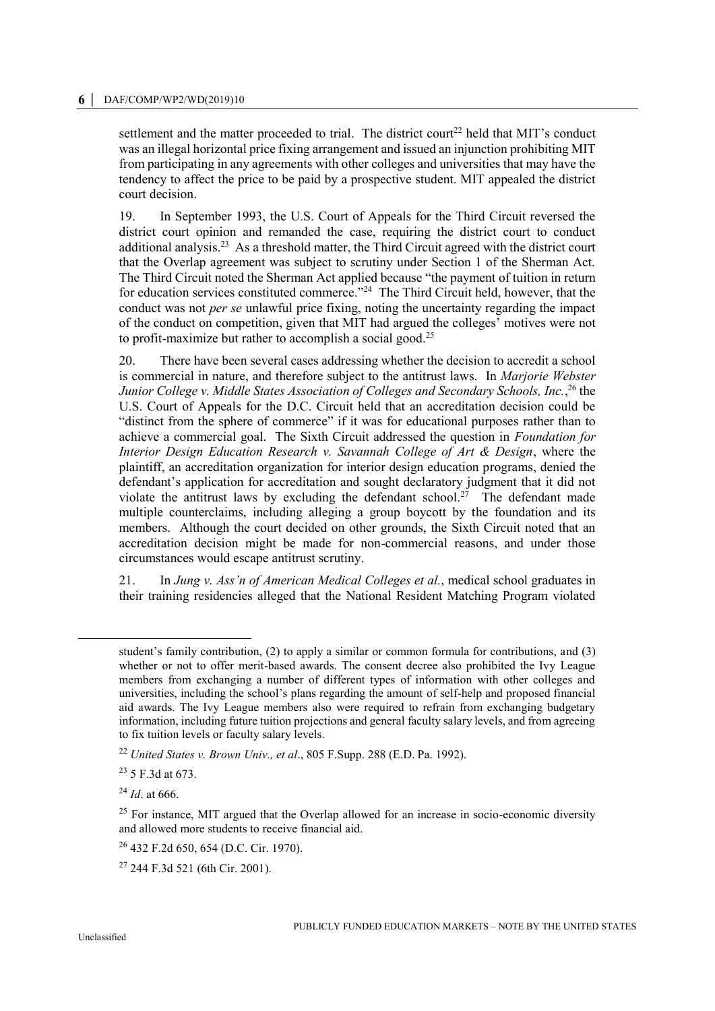#### **6 │** DAF/COMP/WP2/WD(2019)10

settlement and the matter proceeded to trial. The district court<sup>22</sup> held that MIT's conduct was an illegal horizontal price fixing arrangement and issued an injunction prohibiting MIT from participating in any agreements with other colleges and universities that may have the tendency to affect the price to be paid by a prospective student. MIT appealed the district court decision.

19. In September 1993, the U.S. Court of Appeals for the Third Circuit reversed the district court opinion and remanded the case, requiring the district court to conduct additional analysis.<sup>23</sup> As a threshold matter, the Third Circuit agreed with the district court that the Overlap agreement was subject to scrutiny under Section 1 of the Sherman Act. The Third Circuit noted the Sherman Act applied because "the payment of tuition in return for education services constituted commerce."<sup>24</sup> The Third Circuit held, however, that the conduct was not *per se* unlawful price fixing, noting the uncertainty regarding the impact of the conduct on competition, given that MIT had argued the colleges' motives were not to profit-maximize but rather to accomplish a social good.<sup>25</sup>

20. There have been several cases addressing whether the decision to accredit a school is commercial in nature, and therefore subject to the antitrust laws. In *Marjorie Webster Junior College v. Middle States Association of Colleges and Secondary Schools, Inc.*, <sup>26</sup> the U.S. Court of Appeals for the D.C. Circuit held that an accreditation decision could be "distinct from the sphere of commerce" if it was for educational purposes rather than to achieve a commercial goal. The Sixth Circuit addressed the question in *Foundation for Interior Design Education Research v. Savannah College of Art & Design*, where the plaintiff, an accreditation organization for interior design education programs, denied the defendant's application for accreditation and sought declaratory judgment that it did not violate the antitrust laws by excluding the defendant school.<sup>27</sup> The defendant made multiple counterclaims, including alleging a group boycott by the foundation and its members. Although the court decided on other grounds, the Sixth Circuit noted that an accreditation decision might be made for non-commercial reasons, and under those circumstances would escape antitrust scrutiny.

21. In *Jung v. Ass'n of American Medical Colleges et al.*, medical school graduates in their training residencies alleged that the National Resident Matching Program violated

 $\overline{a}$ 

student's family contribution, (2) to apply a similar or common formula for contributions, and (3) whether or not to offer merit-based awards. The consent decree also prohibited the Ivy League members from exchanging a number of different types of information with other colleges and universities, including the school's plans regarding the amount of self-help and proposed financial aid awards. The Ivy League members also were required to refrain from exchanging budgetary information, including future tuition projections and general faculty salary levels, and from agreeing to fix tuition levels or faculty salary levels.

<sup>22</sup> *United States v. Brown Univ., et al*., 805 F.Supp. 288 (E.D. Pa. 1992).

<sup>23</sup> 5 F.3d at 673.

<sup>24</sup> *Id*. at 666.

 $25$  For instance, MIT argued that the Overlap allowed for an increase in socio-economic diversity and allowed more students to receive financial aid.

<sup>26</sup> 432 F.2d 650, 654 (D.C. Cir. 1970).

 $27$  244 F.3d 521 (6th Cir. 2001).